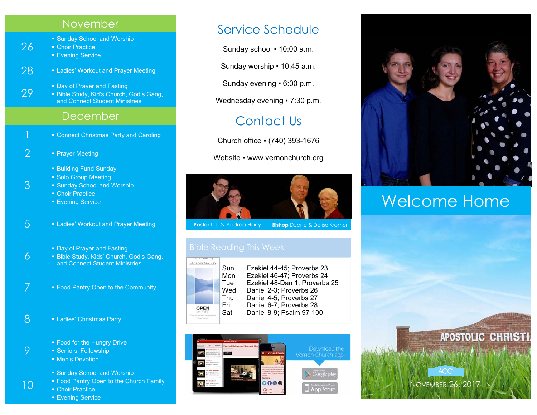#### November

• Sunday School and Worship<br>26 • Choir Practice

■ Choir Practice

**Evening Service** 

3

10

28 • Ladies' Workout and Prayer Meeting

• Day of Prayer and Fasting<br>29 • Bible Study, Kid's Church, God's Gang, and Connect Student Ministries

- December
- **Connect Christmas Party and Caroling**
- 2 Prayer Meeting
	- **Building Fund Sunday**
	- Solo Group Meeting
	- Sunday School and Worship

■ Choir Practice

- **Evening Service**
- 5  **Ladies' Workout and Prayer Meeting** 
	-
- Day of Prayer and Fasting<br>• Bible Study, Kids' Church, **. Bible Study, Kids' Church, God's Gang,** and Connect Student Ministries
- 7  **Food Pantry Open to the Community**
- 8 Ladies' Christmas Party
- Food for the Hungry Drive<br>• Seniors' Fellowship
	- Seniors' Fellowship
	- **Men's Devotion** 
		- Sunday School and Worship
	- **Food Pantry Open to the Church Family**

**• Choir Practice** 

**Evening Service** 

## Service Schedule

Sunday school ▪ 10:00 a.m.

Sunday worship ▪ 10:45 a.m.

Sunday evening ▪ 6:00 p.m.

Wednesday evening • 7:30 p.m.

## Contact Us

Church office ▪ (740) 393-1676

Website • www.vernonchurch.org



**Pastor** L.J. & Andrea Harry **Bishop** Duane & Dorise Kramer



Sun Ezekiel 44-45; Proverbs 23 Mon Ezekiel 46-47; Proverbs 24 Tue Ezekiel 48-Dan 1; Proverbs 25<br>Wed Daniel 2-3: Proverbs 26 Daniel 2-3; Proverbs 26 Thu Daniel 4-5; Proverbs 27 Fri Daniel 6-7; Proverbs 28 Sat Daniel 8-9; Psalm 97-100





# Welcome Home